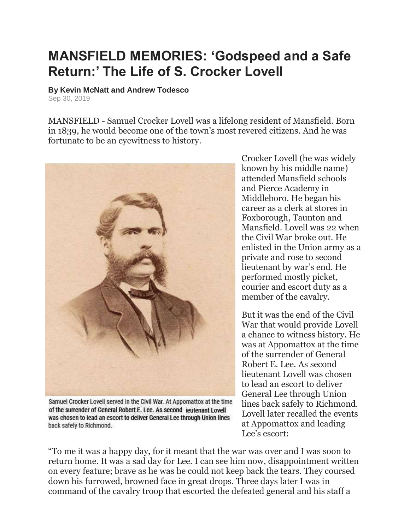## **MANSFIELD MEMORIES: 'Godspeed and a Safe Return:' The Life of S. Crocker Lovell**

## **By Kevin McNatt and Andrew Todesco**

Sep 30, 2019

MANSFIELD - Samuel Crocker Lovell was a lifelong resident of Mansfield. Born in 1839, he would become one of the town's most revered citizens. And he was fortunate to be an eyewitness to history.



Samuel Crocker Lovell served in the Civil War. At Appomattox at the time of the surrender of General Robert E. Lee, As second jeutenant I ovell was chosen to lead an escort to deliver General Lee through Union lines back safely to Richmond.

Crocker Lovell (he was widely known by his middle name) attended Mansfield schools and Pierce Academy in Middleboro. He began his career as a clerk at stores in Foxborough, Taunton and Mansfield. Lovell was 22 when the Civil War broke out. He enlisted in the Union army as a private and rose to second lieutenant by war's end. He performed mostly picket, courier and escort duty as a member of the cavalry.

But it was the end of the Civil War that would provide Lovell a chance to witness history. He was at Appomattox at the time of the surrender of General Robert E. Lee. As second lieutenant Lovell was chosen to lead an escort to deliver General Lee through Union lines back safely to Richmond. Lovell later recalled the events at Appomattox and leading Lee's escort:

"To me it was a happy day, for it meant that the war was over and I was soon to return home. It was a sad day for Lee. I can see him now, disappointment written on every feature; brave as he was he could not keep back the tears. They coursed down his furrowed, browned face in great drops. Three days later I was in command of the cavalry troop that escorted the defeated general and his staff a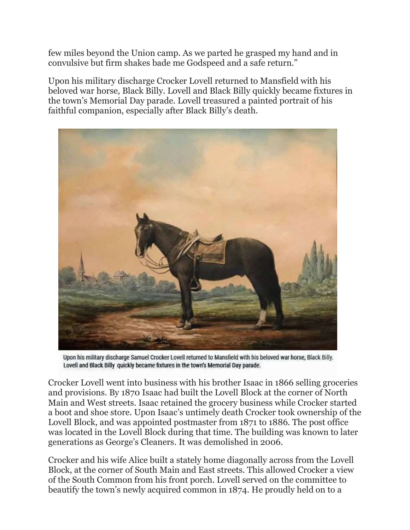few miles beyond the Union camp. As we parted he grasped my hand and in convulsive but firm shakes bade me Godspeed and a safe return."

Upon his military discharge Crocker Lovell returned to Mansfield with his beloved war horse, Black Billy. Lovell and Black Billy quickly became fixtures in the town's Memorial Day parade. Lovell treasured a painted portrait of his faithful companion, especially after Black Billy's death.



Upon his military discharge Samuel Crocker Lovell returned to Mansfield with his beloved war horse, Black Billy. Lovell and Black Billy quickly became fixtures in the town's Memorial Day parade.

Crocker Lovell went into business with his brother Isaac in 1866 selling groceries and provisions. By 1870 Isaac had built the Lovell Block at the corner of North Main and West streets. Isaac retained the grocery business while Crocker started a boot and shoe store. Upon Isaac's untimely death Crocker took ownership of the Lovell Block, and was appointed postmaster from 1871 to 1886. The post office was located in the Lovell Block during that time. The building was known to later generations as George's Cleaners. It was demolished in 2006.

Crocker and his wife Alice built a stately home diagonally across from the Lovell Block, at the corner of South Main and East streets. This allowed Crocker a view of the South Common from his front porch. Lovell served on the committee to beautify the town's newly acquired common in 1874. He proudly held on to a